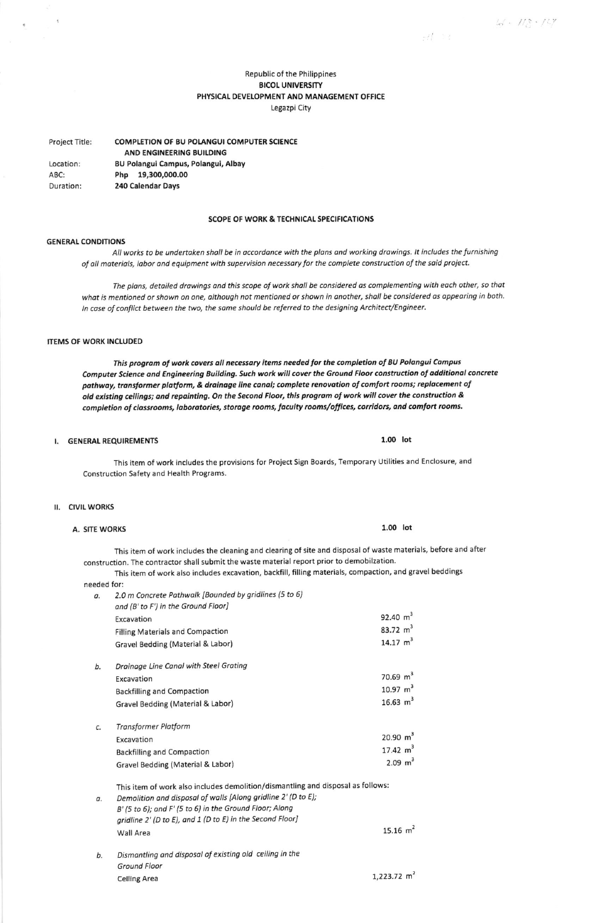$H \geq t$ 

# Republic of the Philippines **BICOL UNIVERSITY** PHYSICAL DEVELOPMENT AND MANAGEMENT OFFICE Legazpi City

Project Title: **COMPLETION OF BU POLANGUI COMPUTER SCIENCE** AND ENGINEERING BUILDING

Location: ABC: Duration:

**BU Polangui Campus, Polangui, Albay** Php 19,300,000.00 240 Calendar Days

## **SCOPE OF WORK & TECHNICAL SPECIFICATIONS**

## **GENERAL CONDITIONS**

All works to be undertaken shall be in accordance with the plans and working drawings. It includes the furnishing of all materials, labor and equipment with supervision necessary for the complete construction of the said project.

The plans, detailed drawings and this scope of work shall be considered as complementing with each other, so that what is mentioned or shown on one, although not mentioned or shown in another, shall be considered as appearing in both. In case of conflict between the two, the same should be referred to the designing Architect/Engineer.

# **ITEMS OF WORK INCLUDED**

This program of work covers all necessary items needed for the completion of BU Polangui Campus Computer Science and Engineering Building. Such work will cover the Ground Floor construction of additional concrete pathway, transformer platform, & drainage line canal; complete renovation of comfort rooms; replacement of old existing ceilings; and repainting. On the Second Floor, this program of work will cover the construction & completion of classrooms, laboratories, storage rooms, faculty rooms/offices, corridors, and comfort rooms.

# I. GENERAL REQUIREMENTS

This item of work includes the provisions for Project Sign Boards, Temporary Utilities and Enclosure, and Construction Safety and Health Programs.

## **II. CIVIL WORKS**

#### **A. SITE WORKS**

This item of work includes the cleaning and clearing of site and disposal of waste materials, before and after construction. The contractor shall submit the waste material report prior to demobilzation.

This item of work also includes excavation, backfill, filling materials, compaction, and gravel beddings

|  |  | eeded for: |  |
|--|--|------------|--|
|  |  |            |  |

| а. | 2.0 m Concrete Pathwalk [Bounded by gridlines (5 to 6)<br>and (B' to F') in the Ground Floor] |                     |
|----|-----------------------------------------------------------------------------------------------|---------------------|
|    | Excavation                                                                                    | 92.40 $m^3$         |
|    | <b>Filling Materials and Compaction</b>                                                       | 83.72 $m^3$         |
|    | Gravel Bedding (Material & Labor)                                                             | 14.17 $m^3$         |
| b. | Drainage Line Canal with Steel Grating                                                        |                     |
|    | Excavation                                                                                    | 70.69 $m^3$         |
|    | <b>Backfilling and Compaction</b>                                                             | 10.97 $m3$          |
|    | Gravel Bedding (Material & Labor)                                                             | 16.63 $m^3$         |
| c. | <b>Transformer Platform</b>                                                                   |                     |
|    | Excavation                                                                                    | $20.90 \text{ m}^3$ |
|    | <b>Backfilling and Compaction</b>                                                             | 17.42 $m^3$         |
|    | Gravel Bedding (Material & Labor)                                                             | $2.09 \text{ m}^3$  |

This item of work also includes demolition/dismantling and disposal as follows:

Demolition and disposal of walls [Along gridline 2' (D to E); α. B' (5 to 6); and F' (5 to 6) in the Ground Floor; Along gridline 2' (D to E), and 1 (D to E) in the Second Floor] 15.16  $m^2$ Wall Area

#### Dismantling and disposal of existing old ceiling in the b. **Ground Floor Celling Area**

#### $1.00$  lot

 $1.223.72 \text{ m}^2$ 

 $1.00$  lot